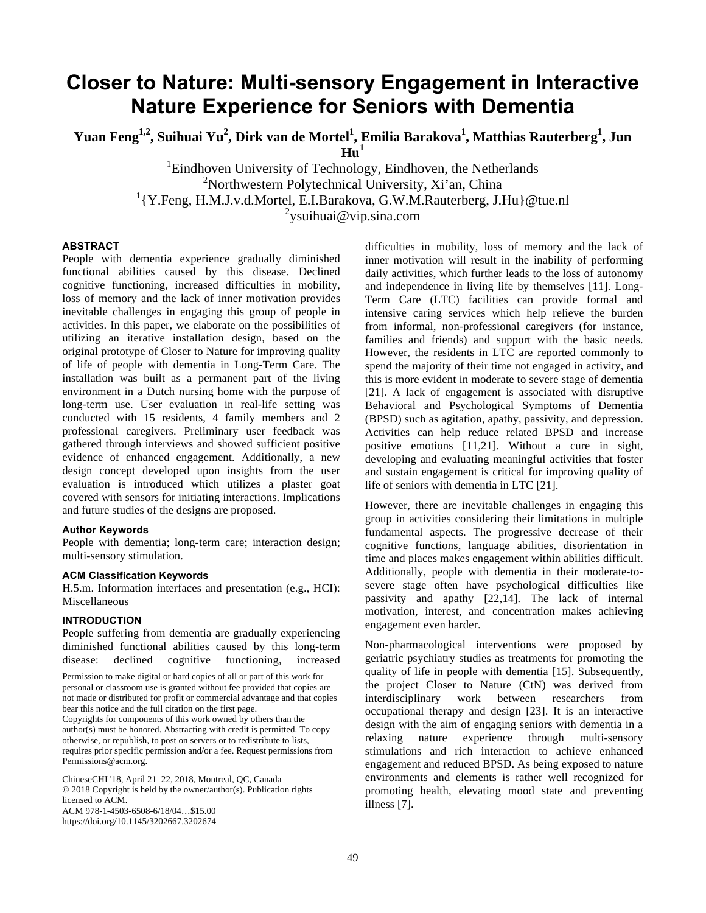# **Closer to Nature: Multi-sensory Engagement in Interactive Nature Experience for Seniors with Dementia**

**Yuan Feng<sup>1,2</sup>, Suihuai Yu<sup>2</sup>, Dirk van de Mortel<sup>1</sup>, Emilia Barakova<sup>1</sup>, Matthias Rauterberg<sup>1</sup>, Jun**  $\mathbf{H}\mathbf{u}^1$ 

> <sup>1</sup>Eindhoven University of Technology, Eindhoven, the Netherlands <sup>2</sup>Northwestern Polytechnical University, Xi'an, China <sup>1</sup>{Y.Feng, H.M.J.v.d.Mortel, E.I.Barakova, G.W.M.Rauterberg, J.Hu}@tue.nl <sup>2</sup>ysuihuai@vip.sina.com

#### **ABSTRACT**

People with dementia experience gradually diminished functional abilities caused by this disease. Declined cognitive functioning, increased difficulties in mobility, loss of memory and the lack of inner motivation provides inevitable challenges in engaging this group of people in activities. In this paper, we elaborate on the possibilities of utilizing an iterative installation design, based on the original prototype of Closer to Nature for improving quality of life of people with dementia in Long-Term Care. The installation was built as a permanent part of the living environment in a Dutch nursing home with the purpose of long-term use. User evaluation in real-life setting was conducted with 15 residents, 4 family members and 2 professional caregivers. Preliminary user feedback was gathered through interviews and showed sufficient positive evidence of enhanced engagement. Additionally, a new design concept developed upon insights from the user evaluation is introduced which utilizes a plaster goat covered with sensors for initiating interactions. Implications and future studies of the designs are proposed.

#### **Author Keywords**

People with dementia; long-term care; interaction design; multi-sensory stimulation.

#### **ACM Classification Keywords**

H.5.m. Information interfaces and presentation (e.g., HCI): Miscellaneous

#### **INTRODUCTION**

People suffering from dementia are gradually experiencing diminished functional abilities caused by this long-term disease: declined cognitive functioning, increased

Permission to make digital or hard copies of all or part of this work for personal or classroom use is granted without fee provided that copies are not made or distributed for profit or commercial advantage and that copies bear this notice and the full citation on the first page. Copyrights for components of this work owned by others than the

author(s) must be honored. Abstracting with credit is permitted. To copy otherwise, or republish, to post on servers or to redistribute to lists, requires prior specific permission and/or a fee. Request permissions from Permissions@acm.org.

ChineseCHI '18, April 21–22, 2018, Montreal, QC, Canada © 2018 Copyright is held by the owner/author(s). Publication rights licensed to ACM. ACM 978-1-4503-6508-6/18/04…\$15.00 https://doi.org/10.1145/3202667.3202674

difficulties in mobility, loss of memory and the lack of inner motivation will result in the inability of performing daily activities, which further leads to the loss of autonomy and independence in living life by themselves [11]. Long-Term Care (LTC) facilities can provide formal and intensive caring services which help relieve the burden from informal, non-professional caregivers (for instance, families and friends) and support with the basic needs. However, the residents in LTC are reported commonly to spend the majority of their time not engaged in activity, and this is more evident in moderate to severe stage of dementia [21]. A lack of engagement is associated with disruptive Behavioral and Psychological Symptoms of Dementia (BPSD) such as agitation, apathy, passivity, and depression. Activities can help reduce related BPSD and increase positive emotions [11,21]. Without a cure in sight, developing and evaluating meaningful activities that foster and sustain engagement is critical for improving quality of life of seniors with dementia in LTC [21].

However, there are inevitable challenges in engaging this group in activities considering their limitations in multiple fundamental aspects. The progressive decrease of their cognitive functions, language abilities, disorientation in time and places makes engagement within abilities difficult. Additionally, people with dementia in their moderate-tosevere stage often have psychological difficulties like passivity and apathy [22,14]. The lack of internal motivation, interest, and concentration makes achieving engagement even harder.

Non-pharmacological interventions were proposed by geriatric psychiatry studies as treatments for promoting the quality of life in people with dementia [15]. Subsequently, the project Closer to Nature (CtN) was derived from interdisciplinary work between researchers from occupational therapy and design [23]. It is an interactive design with the aim of engaging seniors with dementia in a relaxing nature experience through multi-sensory stimulations and rich interaction to achieve enhanced engagement and reduced BPSD. As being exposed to nature environments and elements is rather well recognized for promoting health, elevating mood state and preventing illness [7].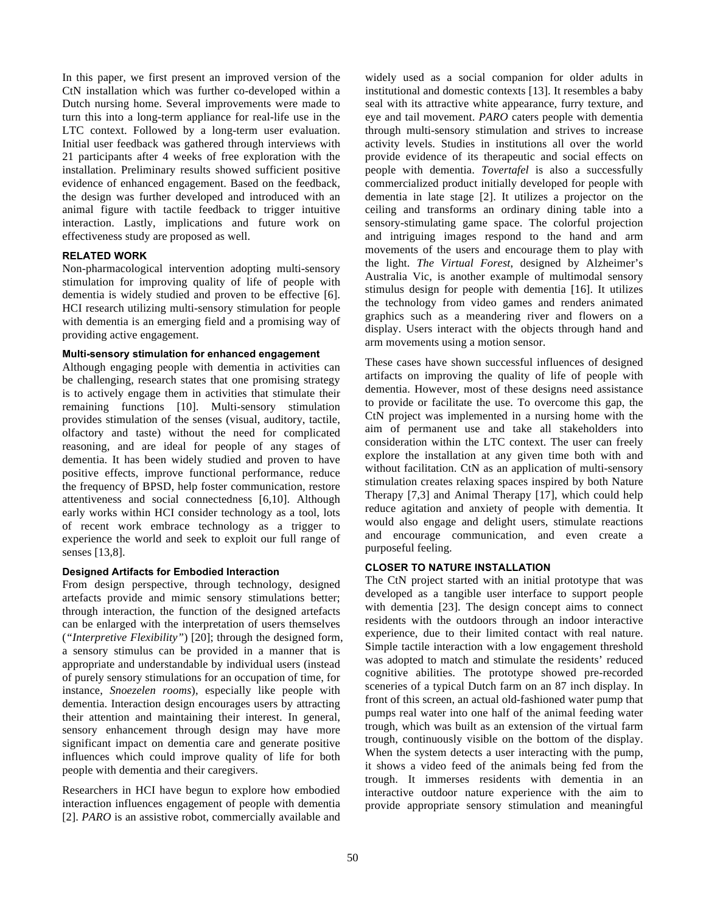In this paper, we first present an improved version of the CtN installation which was further co-developed within a Dutch nursing home. Several improvements were made to turn this into a long-term appliance for real-life use in the LTC context. Followed by a long-term user evaluation. Initial user feedback was gathered through interviews with 21 participants after 4 weeks of free exploration with the installation. Preliminary results showed sufficient positive evidence of enhanced engagement. Based on the feedback, the design was further developed and introduced with an animal figure with tactile feedback to trigger intuitive interaction. Lastly, implications and future work on effectiveness study are proposed as well.

#### **RELATED WORK**

Non-pharmacological intervention adopting multi-sensory stimulation for improving quality of life of people with dementia is widely studied and proven to be effective [6]. HCI research utilizing multi-sensory stimulation for people with dementia is an emerging field and a promising way of providing active engagement.

## **Multi-sensory stimulation for enhanced engagement**

Although engaging people with dementia in activities can be challenging, research states that one promising strategy is to actively engage them in activities that stimulate their remaining functions [10]. Multi-sensory stimulation provides stimulation of the senses (visual, auditory, tactile, olfactory and taste) without the need for complicated reasoning, and are ideal for people of any stages of dementia. It has been widely studied and proven to have positive effects, improve functional performance, reduce the frequency of BPSD, help foster communication, restore attentiveness and social connectedness [6,10]. Although early works within HCI consider technology as a tool, lots of recent work embrace technology as a trigger to experience the world and seek to exploit our full range of senses [13,8].

## **Designed Artifacts for Embodied Interaction**

From design perspective, through technology, designed artefacts provide and mimic sensory stimulations better; through interaction, the function of the designed artefacts can be enlarged with the interpretation of users themselves (*"Interpretive Flexibility"*) [20]; through the designed form, a sensory stimulus can be provided in a manner that is appropriate and understandable by individual users (instead of purely sensory stimulations for an occupation of time, for instance, *Snoezelen rooms*), especially like people with dementia. Interaction design encourages users by attracting their attention and maintaining their interest. In general, sensory enhancement through design may have more significant impact on dementia care and generate positive influences which could improve quality of life for both people with dementia and their caregivers.

Researchers in HCI have begun to explore how embodied interaction influences engagement of people with dementia [2]. *PARO* is an assistive robot, commercially available and

widely used as a social companion for older adults in institutional and domestic contexts [13]. It resembles a baby seal with its attractive white appearance, furry texture, and eye and tail movement. *PARO* caters people with dementia through multi-sensory stimulation and strives to increase activity levels. Studies in institutions all over the world provide evidence of its therapeutic and social effects on people with dementia. *Tovertafel* is also a successfully commercialized product initially developed for people with dementia in late stage [2]. It utilizes a projector on the ceiling and transforms an ordinary dining table into a sensory-stimulating game space. The colorful projection and intriguing images respond to the hand and arm movements of the users and encourage them to play with the light. *The Virtual Forest*, designed by Alzheimer's Australia Vic, is another example of multimodal sensory stimulus design for people with dementia [16]. It utilizes the technology from video games and renders animated graphics such as a meandering river and flowers on a display. Users interact with the objects through hand and arm movements using a motion sensor.

These cases have shown successful influences of designed artifacts on improving the quality of life of people with dementia. However, most of these designs need assistance to provide or facilitate the use. To overcome this gap, the CtN project was implemented in a nursing home with the aim of permanent use and take all stakeholders into consideration within the LTC context. The user can freely explore the installation at any given time both with and without facilitation. CtN as an application of multi-sensory stimulation creates relaxing spaces inspired by both Nature Therapy [7,3] and Animal Therapy [17], which could help reduce agitation and anxiety of people with dementia. It would also engage and delight users, stimulate reactions and encourage communication, and even create a purposeful feeling.

## **CLOSER TO NATURE INSTALLATION**

The CtN project started with an initial prototype that was developed as a tangible user interface to support people with dementia [23]. The design concept aims to connect residents with the outdoors through an indoor interactive experience, due to their limited contact with real nature. Simple tactile interaction with a low engagement threshold was adopted to match and stimulate the residents' reduced cognitive abilities. The prototype showed pre-recorded sceneries of a typical Dutch farm on an 87 inch display. In front of this screen, an actual old-fashioned water pump that pumps real water into one half of the animal feeding water trough, which was built as an extension of the virtual farm trough, continuously visible on the bottom of the display. When the system detects a user interacting with the pump, it shows a video feed of the animals being fed from the trough. It immerses residents with dementia in an interactive outdoor nature experience with the aim to provide appropriate sensory stimulation and meaningful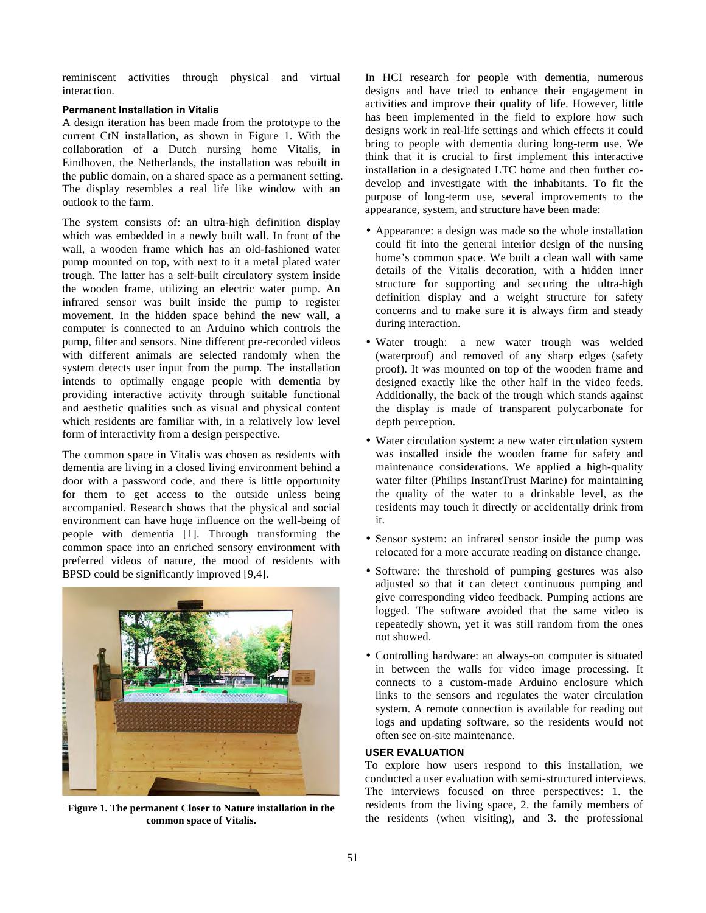reminiscent activities through physical and virtual interaction.

## **Permanent Installation in Vitalis**

A design iteration has been made from the prototype to the current CtN installation, as shown in Figure 1. With the collaboration of a Dutch nursing home Vitalis, in Eindhoven, the Netherlands, the installation was rebuilt in the public domain, on a shared space as a permanent setting. The display resembles a real life like window with an outlook to the farm.

The system consists of: an ultra-high definition display which was embedded in a newly built wall. In front of the wall, a wooden frame which has an old-fashioned water pump mounted on top, with next to it a metal plated water trough. The latter has a self-built circulatory system inside the wooden frame, utilizing an electric water pump. An infrared sensor was built inside the pump to register movement. In the hidden space behind the new wall, a computer is connected to an Arduino which controls the pump, filter and sensors. Nine different pre-recorded videos with different animals are selected randomly when the system detects user input from the pump. The installation intends to optimally engage people with dementia by providing interactive activity through suitable functional and aesthetic qualities such as visual and physical content which residents are familiar with, in a relatively low level form of interactivity from a design perspective.

The common space in Vitalis was chosen as residents with dementia are living in a closed living environment behind a door with a password code, and there is little opportunity for them to get access to the outside unless being accompanied. Research shows that the physical and social environment can have huge influence on the well-being of people with dementia [1]. Through transforming the common space into an enriched sensory environment with preferred videos of nature, the mood of residents with BPSD could be significantly improved [9,4].



**Figure 1. The permanent Closer to Nature installation in the common space of Vitalis.**

In HCI research for people with dementia, numerous designs and have tried to enhance their engagement in activities and improve their quality of life. However, little has been implemented in the field to explore how such designs work in real-life settings and which effects it could bring to people with dementia during long-term use. We think that it is crucial to first implement this interactive installation in a designated LTC home and then further codevelop and investigate with the inhabitants. To fit the purpose of long-term use, several improvements to the appearance, system, and structure have been made:

- Appearance: a design was made so the whole installation could fit into the general interior design of the nursing home's common space. We built a clean wall with same details of the Vitalis decoration, with a hidden inner structure for supporting and securing the ultra-high definition display and a weight structure for safety concerns and to make sure it is always firm and steady during interaction.
- Water trough: a new water trough was welded (waterproof) and removed of any sharp edges (safety proof). It was mounted on top of the wooden frame and designed exactly like the other half in the video feeds. Additionally, the back of the trough which stands against the display is made of transparent polycarbonate for depth perception.
- Water circulation system: a new water circulation system was installed inside the wooden frame for safety and maintenance considerations. We applied a high-quality water filter (Philips InstantTrust Marine) for maintaining the quality of the water to a drinkable level, as the residents may touch it directly or accidentally drink from it.
- Sensor system: an infrared sensor inside the pump was relocated for a more accurate reading on distance change.
- Software: the threshold of pumping gestures was also adjusted so that it can detect continuous pumping and give corresponding video feedback. Pumping actions are logged. The software avoided that the same video is repeatedly shown, yet it was still random from the ones not showed.
- Controlling hardware: an always-on computer is situated in between the walls for video image processing. It connects to a custom-made Arduino enclosure which links to the sensors and regulates the water circulation system. A remote connection is available for reading out logs and updating software, so the residents would not often see on-site maintenance.

## **USER EVALUATION**

To explore how users respond to this installation, we conducted a user evaluation with semi-structured interviews. The interviews focused on three perspectives: 1. the residents from the living space, 2. the family members of the residents (when visiting), and 3. the professional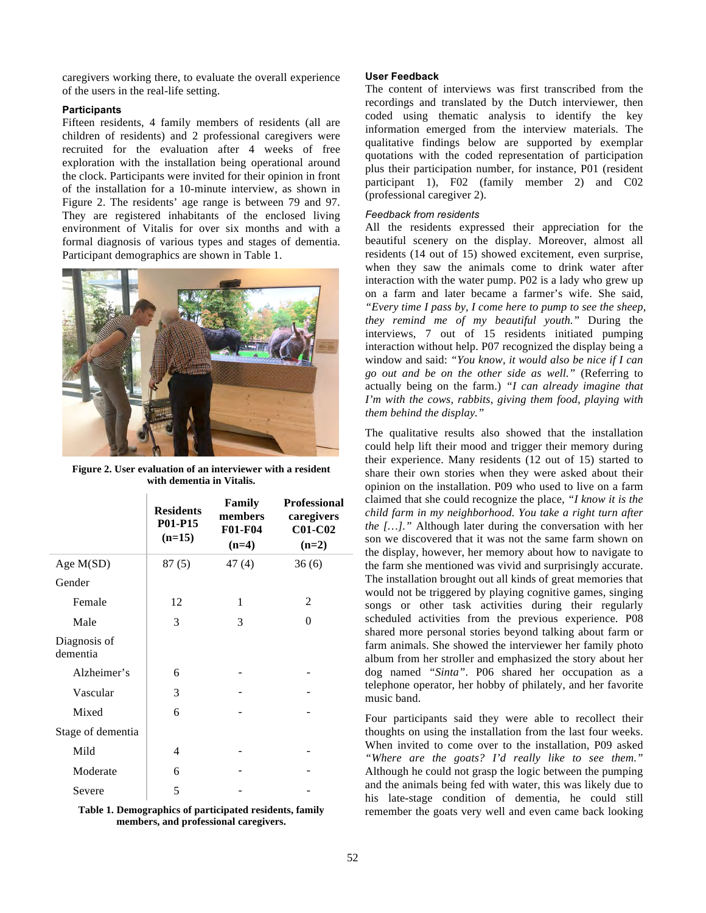caregivers working there, to evaluate the overall experience of the users in the real-life setting.

#### **Participants**

Fifteen residents, 4 family members of residents (all are children of residents) and 2 professional caregivers were recruited for the evaluation after 4 weeks of free exploration with the installation being operational around the clock. Participants were invited for their opinion in front of the installation for a 10-minute interview, as shown in Figure 2. The residents' age range is between 79 and 97. They are registered inhabitants of the enclosed living environment of Vitalis for over six months and with a formal diagnosis of various types and stages of dementia. Participant demographics are shown in Table 1.



**Figure 2. User evaluation of an interviewer with a resident with dementia in Vitalis.**

|                          | <b>Residents</b><br>P01-P15<br>$(n=15)$ | Family<br>members<br><b>F01-F04</b><br>$(n=4)$ | <b>Professional</b><br>caregivers<br>$C01-C02$<br>$(n=2)$ |
|--------------------------|-----------------------------------------|------------------------------------------------|-----------------------------------------------------------|
| Age M(SD)                | 87(5)                                   | 47(4)                                          | 36(6)                                                     |
| Gender                   |                                         |                                                |                                                           |
| Female                   | 12                                      | 1                                              | $\mathcal{D}_{\mathcal{L}}$                               |
| Male                     | 3                                       | 3                                              | $\Omega$                                                  |
| Diagnosis of<br>dementia |                                         |                                                |                                                           |
| Alzheimer's              | 6                                       |                                                |                                                           |
| Vascular                 | 3                                       |                                                |                                                           |
| Mixed                    | 6                                       |                                                |                                                           |
| Stage of dementia        |                                         |                                                |                                                           |
| Mild                     | 4                                       |                                                |                                                           |
| Moderate                 | 6                                       |                                                |                                                           |
| Severe                   | 5                                       |                                                |                                                           |

**Table 1. Demographics of participated residents, family members, and professional caregivers.**

### **User Feedback**

The content of interviews was first transcribed from the recordings and translated by the Dutch interviewer, then coded using thematic analysis to identify the key information emerged from the interview materials. The qualitative findings below are supported by exemplar quotations with the coded representation of participation plus their participation number, for instance, P01 (resident participant 1), F02 (family member 2) and C02 (professional caregiver 2).

#### *Feedback from residents*

All the residents expressed their appreciation for the beautiful scenery on the display. Moreover, almost all residents (14 out of 15) showed excitement, even surprise, when they saw the animals come to drink water after interaction with the water pump. P02 is a lady who grew up on a farm and later became a farmer's wife. She said, *"Every time I pass by, I come here to pump to see the sheep, they remind me of my beautiful youth."* During the interviews, 7 out of 15 residents initiated pumping interaction without help. P07 recognized the display being a window and said: *"You know, it would also be nice if I can go out and be on the other side as well."* (Referring to actually being on the farm.) *"I can already imagine that I'm with the cows, rabbits, giving them food, playing with them behind the display."*

The qualitative results also showed that the installation could help lift their mood and trigger their memory during their experience. Many residents (12 out of 15) started to share their own stories when they were asked about their opinion on the installation. P09 who used to live on a farm claimed that she could recognize the place, *"I know it is the child farm in my neighborhood. You take a right turn after the […]."* Although later during the conversation with her son we discovered that it was not the same farm shown on the display, however, her memory about how to navigate to the farm she mentioned was vivid and surprisingly accurate. The installation brought out all kinds of great memories that would not be triggered by playing cognitive games, singing songs or other task activities during their regularly scheduled activities from the previous experience. P08 shared more personal stories beyond talking about farm or farm animals. She showed the interviewer her family photo album from her stroller and emphasized the story about her dog named *"Sinta"*. P06 shared her occupation as a telephone operator, her hobby of philately, and her favorite music band.

Four participants said they were able to recollect their thoughts on using the installation from the last four weeks. When invited to come over to the installation, P09 asked *"Where are the goats? I'd really like to see them."* Although he could not grasp the logic between the pumping and the animals being fed with water, this was likely due to his late-stage condition of dementia, he could still remember the goats very well and even came back looking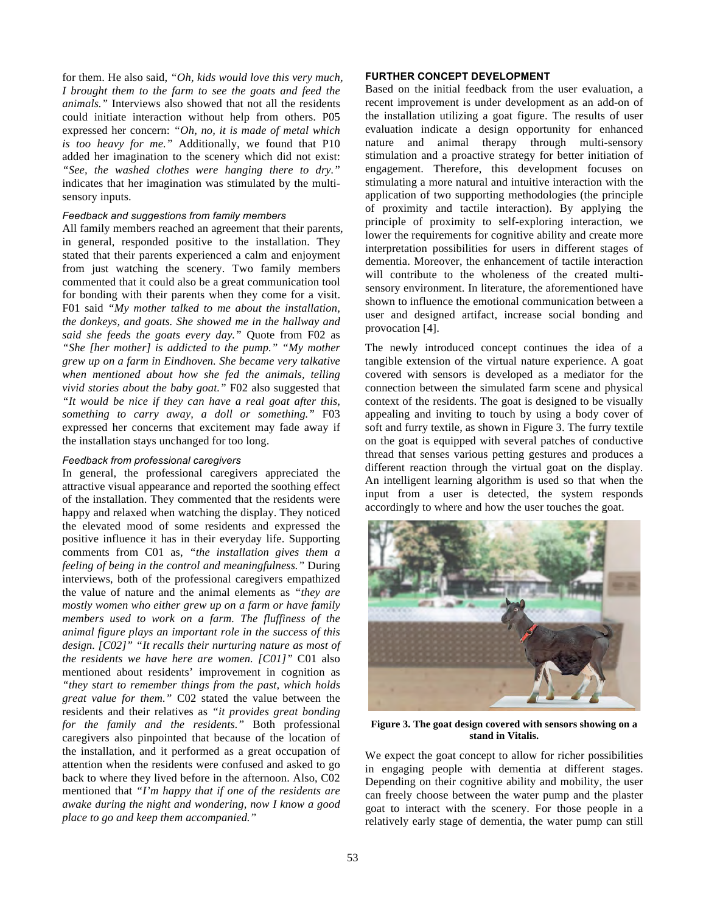for them. He also said, *"Oh, kids would love this very much, I brought them to the farm to see the goats and feed the animals."* Interviews also showed that not all the residents could initiate interaction without help from others. P05 expressed her concern: *"Oh, no, it is made of metal which is too heavy for me."* Additionally, we found that P10 added her imagination to the scenery which did not exist: *"See, the washed clothes were hanging there to dry."* indicates that her imagination was stimulated by the multisensory inputs.

#### *Feedback and suggestions from family members*

All family members reached an agreement that their parents, in general, responded positive to the installation. They stated that their parents experienced a calm and enjoyment from just watching the scenery. Two family members commented that it could also be a great communication tool for bonding with their parents when they come for a visit. F01 said *"My mother talked to me about the installation, the donkeys, and goats. She showed me in the hallway and said she feeds the goats every day."* Quote from F02 as *"She [her mother] is addicted to the pump." "My mother grew up on a farm in Eindhoven. She became very talkative when mentioned about how she fed the animals, telling vivid stories about the baby goat."* F02 also suggested that *"It would be nice if they can have a real goat after this, something to carry away, a doll or something."* F03 expressed her concerns that excitement may fade away if the installation stays unchanged for too long.

### *Feedback from professional caregivers*

In general, the professional caregivers appreciated the attractive visual appearance and reported the soothing effect of the installation. They commented that the residents were happy and relaxed when watching the display. They noticed the elevated mood of some residents and expressed the positive influence it has in their everyday life. Supporting comments from C01 as, *"the installation gives them a feeling of being in the control and meaningfulness."* During interviews, both of the professional caregivers empathized the value of nature and the animal elements as *"they are mostly women who either grew up on a farm or have family members used to work on a farm. The fluffiness of the animal figure plays an important role in the success of this design. [C02]" "It recalls their nurturing nature as most of the residents we have here are women. [C01]"* C01 also mentioned about residents' improvement in cognition as *"they start to remember things from the past, which holds great value for them."* C02 stated the value between the residents and their relatives as *"it provides great bonding for the family and the residents."* Both professional caregivers also pinpointed that because of the location of the installation, and it performed as a great occupation of attention when the residents were confused and asked to go back to where they lived before in the afternoon. Also, C02 mentioned that *"I'm happy that if one of the residents are awake during the night and wondering, now I know a good place to go and keep them accompanied."*

## **FURTHER CONCEPT DEVELOPMENT**

Based on the initial feedback from the user evaluation, a recent improvement is under development as an add-on of the installation utilizing a goat figure. The results of user evaluation indicate a design opportunity for enhanced nature and animal therapy through multi-sensory stimulation and a proactive strategy for better initiation of engagement. Therefore, this development focuses on stimulating a more natural and intuitive interaction with the application of two supporting methodologies (the principle of proximity and tactile interaction). By applying the principle of proximity to self-exploring interaction, we lower the requirements for cognitive ability and create more interpretation possibilities for users in different stages of dementia. Moreover, the enhancement of tactile interaction will contribute to the wholeness of the created multisensory environment. In literature, the aforementioned have shown to influence the emotional communication between a user and designed artifact, increase social bonding and provocation [4].

The newly introduced concept continues the idea of a tangible extension of the virtual nature experience. A goat covered with sensors is developed as a mediator for the connection between the simulated farm scene and physical context of the residents. The goat is designed to be visually appealing and inviting to touch by using a body cover of soft and furry textile, as shown in Figure 3. The furry textile on the goat is equipped with several patches of conductive thread that senses various petting gestures and produces a different reaction through the virtual goat on the display. An intelligent learning algorithm is used so that when the input from a user is detected, the system responds accordingly to where and how the user touches the goat.



**Figure 3. The goat design covered with sensors showing on a stand in Vitalis.** 

We expect the goat concept to allow for richer possibilities in engaging people with dementia at different stages. Depending on their cognitive ability and mobility, the user can freely choose between the water pump and the plaster goat to interact with the scenery. For those people in a relatively early stage of dementia, the water pump can still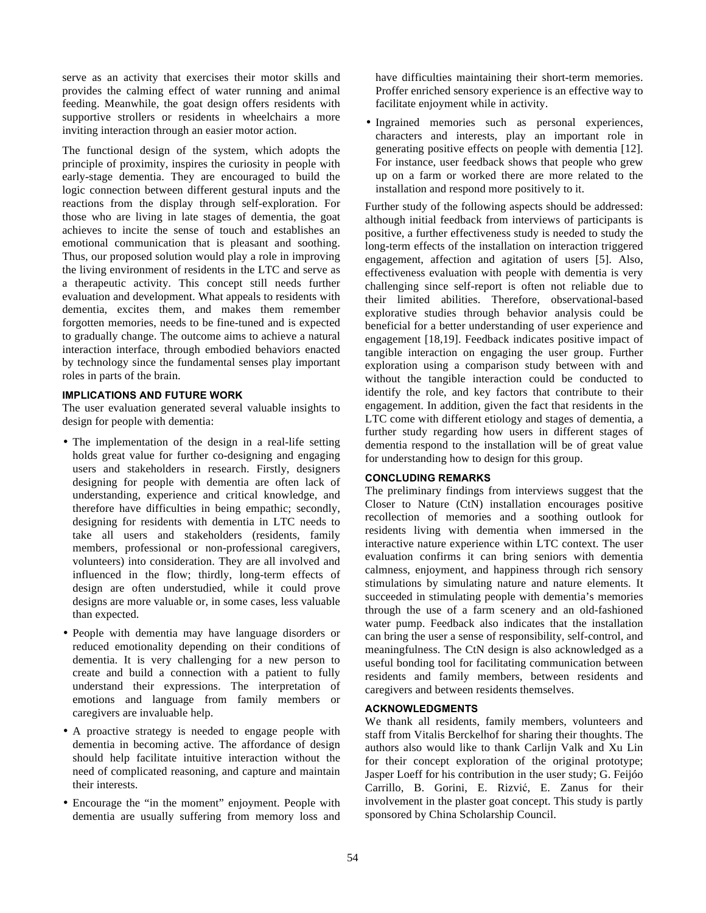serve as an activity that exercises their motor skills and provides the calming effect of water running and animal feeding. Meanwhile, the goat design offers residents with supportive strollers or residents in wheelchairs a more inviting interaction through an easier motor action.

The functional design of the system, which adopts the principle of proximity, inspires the curiosity in people with early-stage dementia. They are encouraged to build the logic connection between different gestural inputs and the reactions from the display through self-exploration. For those who are living in late stages of dementia, the goat achieves to incite the sense of touch and establishes an emotional communication that is pleasant and soothing. Thus, our proposed solution would play a role in improving the living environment of residents in the LTC and serve as a therapeutic activity. This concept still needs further evaluation and development. What appeals to residents with dementia, excites them, and makes them remember forgotten memories, needs to be fine-tuned and is expected to gradually change. The outcome aims to achieve a natural interaction interface, through embodied behaviors enacted by technology since the fundamental senses play important roles in parts of the brain.

### **IMPLICATIONS AND FUTURE WORK**

The user evaluation generated several valuable insights to design for people with dementia:

- The implementation of the design in a real-life setting holds great value for further co-designing and engaging users and stakeholders in research. Firstly, designers designing for people with dementia are often lack of understanding, experience and critical knowledge, and therefore have difficulties in being empathic; secondly, designing for residents with dementia in LTC needs to take all users and stakeholders (residents, family members, professional or non-professional caregivers, volunteers) into consideration. They are all involved and influenced in the flow; thirdly, long-term effects of design are often understudied, while it could prove designs are more valuable or, in some cases, less valuable than expected.
- People with dementia may have language disorders or reduced emotionality depending on their conditions of dementia. It is very challenging for a new person to create and build a connection with a patient to fully understand their expressions. The interpretation of emotions and language from family members or caregivers are invaluable help.
- A proactive strategy is needed to engage people with dementia in becoming active. The affordance of design should help facilitate intuitive interaction without the need of complicated reasoning, and capture and maintain their interests.
- Encourage the "in the moment" enjoyment. People with dementia are usually suffering from memory loss and

have difficulties maintaining their short-term memories. Proffer enriched sensory experience is an effective way to facilitate enjoyment while in activity.

Ingrained memories such as personal experiences, characters and interests, play an important role in generating positive effects on people with dementia [12]. For instance, user feedback shows that people who grew up on a farm or worked there are more related to the installation and respond more positively to it.

Further study of the following aspects should be addressed: although initial feedback from interviews of participants is positive, a further effectiveness study is needed to study the long-term effects of the installation on interaction triggered engagement, affection and agitation of users [5]. Also, effectiveness evaluation with people with dementia is very challenging since self-report is often not reliable due to their limited abilities. Therefore, observational-based explorative studies through behavior analysis could be beneficial for a better understanding of user experience and engagement [18,19]. Feedback indicates positive impact of tangible interaction on engaging the user group. Further exploration using a comparison study between with and without the tangible interaction could be conducted to identify the role, and key factors that contribute to their engagement. In addition, given the fact that residents in the LTC come with different etiology and stages of dementia, a further study regarding how users in different stages of dementia respond to the installation will be of great value for understanding how to design for this group.

## **CONCLUDING REMARKS**

The preliminary findings from interviews suggest that the Closer to Nature (CtN) installation encourages positive recollection of memories and a soothing outlook for residents living with dementia when immersed in the interactive nature experience within LTC context. The user evaluation confirms it can bring seniors with dementia calmness, enjoyment, and happiness through rich sensory stimulations by simulating nature and nature elements. It succeeded in stimulating people with dementia's memories through the use of a farm scenery and an old-fashioned water pump. Feedback also indicates that the installation can bring the user a sense of responsibility, self-control, and meaningfulness. The CtN design is also acknowledged as a useful bonding tool for facilitating communication between residents and family members, between residents and caregivers and between residents themselves.

#### **ACKNOWLEDGMENTS**

We thank all residents, family members, volunteers and staff from Vitalis Berckelhof for sharing their thoughts. The authors also would like to thank Carlijn Valk and Xu Lin for their concept exploration of the original prototype; Jasper Loeff for his contribution in the user study; G. Feijóo Carrillo, B. Gorini, E. Rizvić, E. Zanus for their involvement in the plaster goat concept. This study is partly sponsored by China Scholarship Council.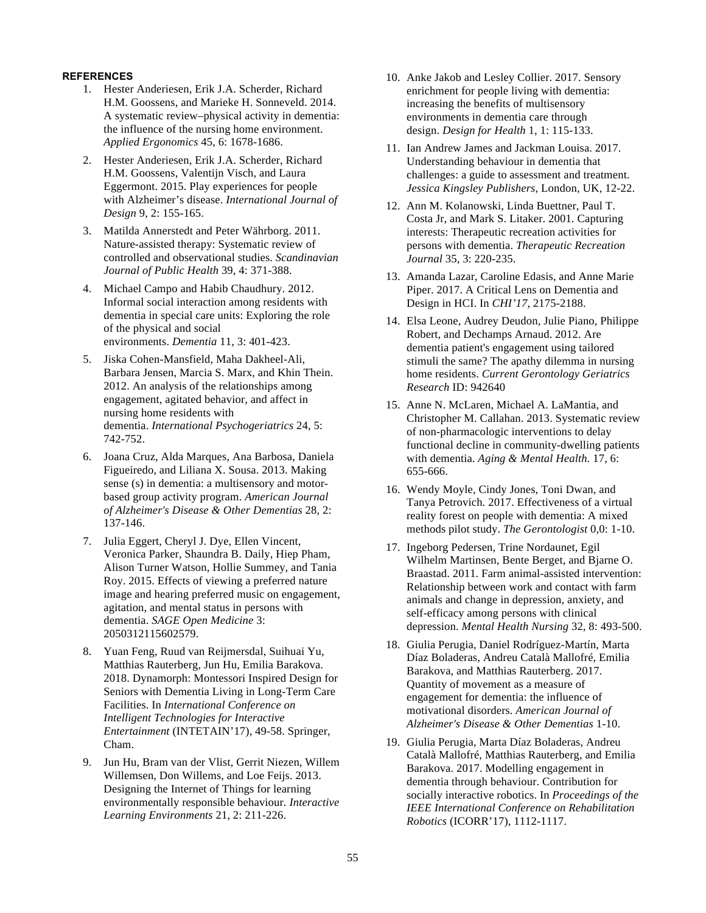## **REFERENCES**

- 1. Hester Anderiesen, Erik J.A. Scherder, Richard H.M. Goossens, and Marieke H. Sonneveld. 2014. A systematic review–physical activity in dementia: the influence of the nursing home environment. *Applied Ergonomics* 45, 6: 1678-1686.
- 2. Hester Anderiesen, Erik J.A. Scherder, Richard H.M. Goossens, Valentijn Visch, and Laura Eggermont. 2015. Play experiences for people with Alzheimer's disease. *International Journal of Design* 9, 2: 155-165.
- 3. Matilda Annerstedt and Peter Währborg. 2011. Nature-assisted therapy: Systematic review of controlled and observational studies. *Scandinavian Journal of Public Health* 39, 4: 371-388.
- 4. Michael Campo and Habib Chaudhury. 2012. Informal social interaction among residents with dementia in special care units: Exploring the role of the physical and social environments. *Dementia* 11, 3: 401-423.
- 5. Jiska Cohen-Mansfield, Maha Dakheel-Ali, Barbara Jensen, Marcia S. Marx, and Khin Thein. 2012. An analysis of the relationships among engagement, agitated behavior, and affect in nursing home residents with dementia. *International Psychogeriatrics* 24, 5: 742-752.
- 6. Joana Cruz, Alda Marques, Ana Barbosa, Daniela Figueiredo, and Liliana X. Sousa. 2013. Making sense (s) in dementia: a multisensory and motorbased group activity program. *American Journal of Alzheimer's Disease & Other Dementias* 28, 2: 137-146.
- 7. Julia Eggert, Cheryl J. Dye, Ellen Vincent, Veronica Parker, Shaundra B. Daily, Hiep Pham, Alison Turner Watson, Hollie Summey, and Tania Roy. 2015. Effects of viewing a preferred nature image and hearing preferred music on engagement, agitation, and mental status in persons with dementia. *SAGE Open Medicine* 3: 2050312115602579.
- 8. Yuan Feng, Ruud van Reijmersdal, Suihuai Yu, Matthias Rauterberg, Jun Hu, Emilia Barakova. 2018. Dynamorph: Montessori Inspired Design for Seniors with Dementia Living in Long-Term Care Facilities. In *International Conference on Intelligent Technologies for Interactive Entertainment* (INTETAIN'17), 49-58. Springer, Cham.
- 9. Jun Hu, Bram van der Vlist, Gerrit Niezen, Willem Willemsen, Don Willems, and Loe Feijs. 2013. Designing the Internet of Things for learning environmentally responsible behaviour. *Interactive Learning Environments* 21, 2: 211-226.
- 10. Anke Jakob and Lesley Collier. 2017. Sensory enrichment for people living with dementia: increasing the benefits of multisensory environments in dementia care through design. *Design for Health* 1, 1: 115-133.
- 11. Ian Andrew James and Jackman Louisa. 2017. Understanding behaviour in dementia that challenges: a guide to assessment and treatment. *Jessica Kingsley Publishers*, London, UK, 12-22.
- 12. Ann M. Kolanowski, Linda Buettner, Paul T. Costa Jr, and Mark S. Litaker. 2001. Capturing interests: Therapeutic recreation activities for persons with dementia. *Therapeutic Recreation Journal* 35, 3: 220-235.
- 13. Amanda Lazar, Caroline Edasis, and Anne Marie Piper. 2017. A Critical Lens on Dementia and Design in HCI. In *CHI'17*, 2175-2188.
- 14. Elsa Leone, Audrey Deudon, Julie Piano, Philippe Robert, and Dechamps Arnaud. 2012. Are dementia patient's engagement using tailored stimuli the same? The apathy dilemma in nursing home residents. *Current Gerontology Geriatrics Research* ID: 942640
- 15. Anne N. McLaren, Michael A. LaMantia, and Christopher M. Callahan. 2013. Systematic review of non-pharmacologic interventions to delay functional decline in community-dwelling patients with dementia. *Aging & Mental Health.* 17, 6: 655-666.
- 16. Wendy Moyle, Cindy Jones, Toni Dwan, and Tanya Petrovich. 2017. Effectiveness of a virtual reality forest on people with dementia: A mixed methods pilot study. *The Gerontologist* 0,0: 1-10.
- 17. Ingeborg Pedersen, Trine Nordaunet, Egil Wilhelm Martinsen, Bente Berget, and Bjarne O. Braastad. 2011. Farm animal-assisted intervention: Relationship between work and contact with farm animals and change in depression, anxiety, and self-efficacy among persons with clinical depression. *Mental Health Nursing* 32, 8: 493-500.
- 18. Giulia Perugia, Daniel Rodríguez-Martín, Marta Díaz Boladeras, Andreu Català Mallofré, Emilia Barakova, and Matthias Rauterberg. 2017. Quantity of movement as a measure of engagement for dementia: the influence of motivational disorders. *American Journal of Alzheimer's Disease & Other Dementias* 1-10.
- 19. Giulia Perugia, Marta Díaz Boladeras, Andreu Català Mallofré, Matthias Rauterberg, and Emilia Barakova. 2017. Modelling engagement in dementia through behaviour. Contribution for socially interactive robotics. In *Proceedings of the IEEE International Conference on Rehabilitation Robotics* (ICORR'17), 1112-1117.